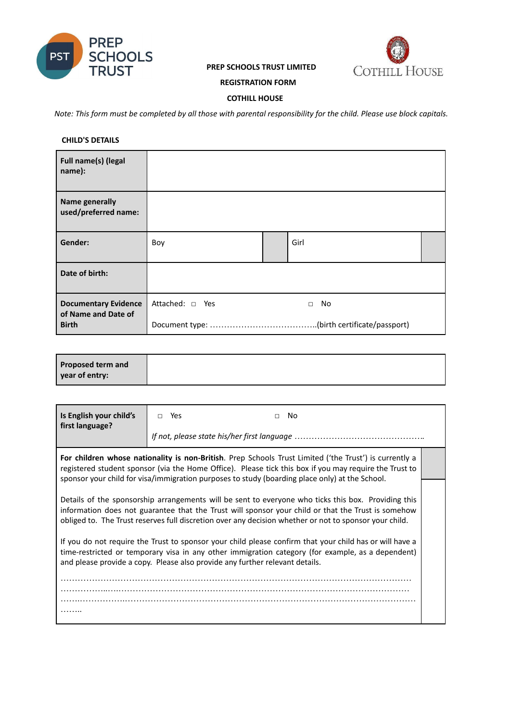

# **PREP SCHOOLS TRUST LIMITED**



## **REGISTRATION FORM**

## **COTHILL HOUSE**

Note: This form must be completed by all those with parental responsibility for the child. Please use block capitals.

## **CHILD'S DETAILS**

| Full name(s) (legal<br>name):                      |                 |              |  |
|----------------------------------------------------|-----------------|--------------|--|
| <b>Name generally</b><br>used/preferred name:      |                 |              |  |
| Gender:                                            | Boy             | Girl         |  |
| Date of birth:                                     |                 |              |  |
| <b>Documentary Evidence</b><br>of Name and Date of | Attached: □ Yes | No<br>$\Box$ |  |
| <b>Birth</b>                                       |                 |              |  |

| <b>Proposed term and</b><br>year of entry: |  |
|--------------------------------------------|--|
|                                            |  |

| Is English your child's<br>first language?                                                                                                                                                                                                                                                                          | Yes<br>$\Box$ | No.<br>$\Box$ |
|---------------------------------------------------------------------------------------------------------------------------------------------------------------------------------------------------------------------------------------------------------------------------------------------------------------------|---------------|---------------|
|                                                                                                                                                                                                                                                                                                                     |               |               |
| For children whose nationality is non-British. Prep Schools Trust Limited ('the Trust') is currently a<br>registered student sponsor (via the Home Office). Please tick this box if you may require the Trust to<br>sponsor your child for visa/immigration purposes to study (boarding place only) at the School.  |               |               |
| Details of the sponsorship arrangements will be sent to everyone who ticks this box. Providing this<br>information does not guarantee that the Trust will sponsor your child or that the Trust is somehow<br>obliged to. The Trust reserves full discretion over any decision whether or not to sponsor your child. |               |               |
| If you do not require the Trust to sponsor your child please confirm that your child has or will have a<br>time-restricted or temporary visa in any other immigration category (for example, as a dependent)<br>and please provide a copy. Please also provide any further relevant details.                        |               |               |
|                                                                                                                                                                                                                                                                                                                     |               |               |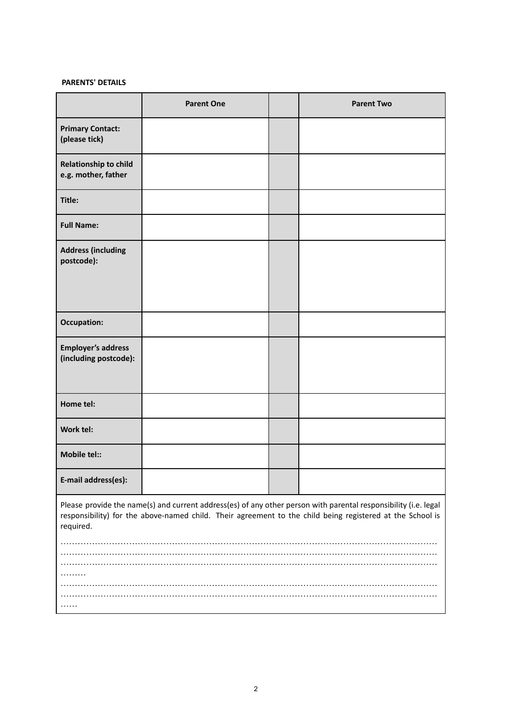# **PARENTS' DETAILS**

|                                                                                                                                                                                                                                           | <b>Parent One</b> |  | <b>Parent Two</b> |
|-------------------------------------------------------------------------------------------------------------------------------------------------------------------------------------------------------------------------------------------|-------------------|--|-------------------|
| <b>Primary Contact:</b><br>(please tick)                                                                                                                                                                                                  |                   |  |                   |
| <b>Relationship to child</b><br>e.g. mother, father                                                                                                                                                                                       |                   |  |                   |
| Title:                                                                                                                                                                                                                                    |                   |  |                   |
| <b>Full Name:</b>                                                                                                                                                                                                                         |                   |  |                   |
| <b>Address (including</b><br>postcode):                                                                                                                                                                                                   |                   |  |                   |
| <b>Occupation:</b>                                                                                                                                                                                                                        |                   |  |                   |
| <b>Employer's address</b><br>(including postcode):                                                                                                                                                                                        |                   |  |                   |
| Home tel:                                                                                                                                                                                                                                 |                   |  |                   |
| Work tel:                                                                                                                                                                                                                                 |                   |  |                   |
| <b>Mobile tel::</b>                                                                                                                                                                                                                       |                   |  |                   |
| E-mail address(es):                                                                                                                                                                                                                       |                   |  |                   |
| Please provide the name(s) and current address(es) of any other person with parental responsibility (i.e. legal<br>responsibility) for the above-named child. Their agreement to the child being registered at the School is<br>required. |                   |  |                   |
|                                                                                                                                                                                                                                           |                   |  |                   |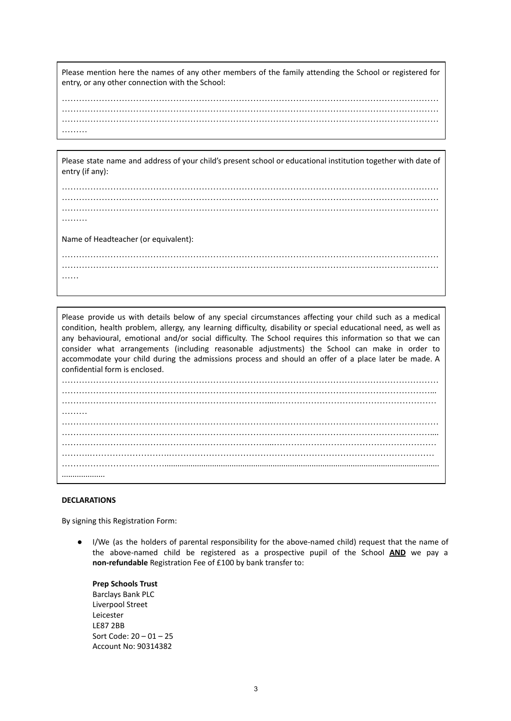Please mention here the names of any other members of the family attending the School or registered for entry, or any other connection with the School:

…………………………………………………………………………………………………………………… …………………………………………………………………………………………………………………… …………………………………………………………………………………………………………………… …………

Please state name and address of your child's present school or educational institution together with date of entry (if any):

…………………………………………………………………………………………………………………… …………………………………………………………………………………………………………………… …………………………………………………………………………………………………………………… ……… Name of Headteacher (or equivalent): ……………………………………………………………………………………………………………………

……

……………………………………………………………………………………………………………………

Please provide us with details below of any special circumstances affecting your child such as a medical condition, health problem, allergy, any learning difficulty, disability or special educational need, as well as any behavioural, emotional and/or social difficulty. The School requires this information so that we can consider what arrangements (including reasonable adjustments) the School can make in order to accommodate your child during the admissions process and should an offer of a place later be made. A confidential form is enclosed. …………………………………………………………………………………………………………………… …………………………………………………………………………………………………………………... ………………………………………………………………...………………………………………………… ……… …………………………………………………………………………………………………………………… ………………………………………………………………………………………………………………….... ………………………………………………………………...………………………………………………… ……….……………………….………………………………………………………………………………… ………………………………...............................................................................................................................

### **DECLARATIONS**

....................

By signing this Registration Form:

● I/We (as the holders of parental responsibility for the above-named child) request that the name of the above-named child be registered as a prospective pupil of the School **AND** we pay a **non-refundable** Registration Fee of £100 by bank transfer to:

**Prep Schools Trust** Barclays Bank PLC Liverpool Street Leicester LE87 2BB Sort Code: 20 – 01 – 25 Account No: 90314382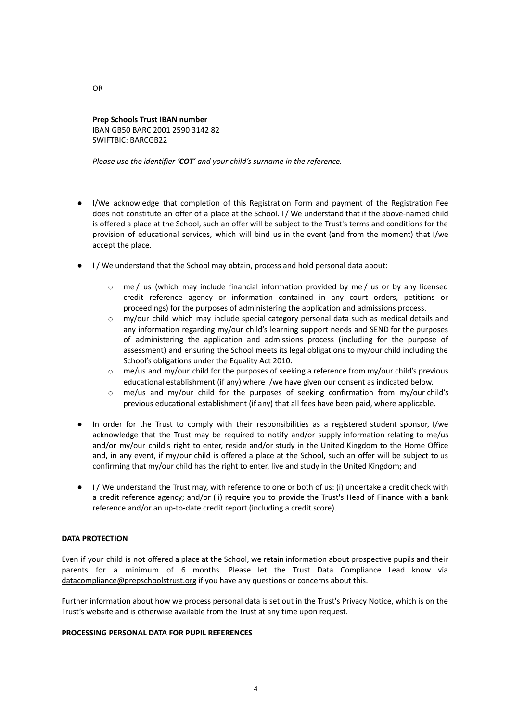**Prep Schools Trust IBAN number** IBAN GB50 BARC 2001 2590 3142 82 SWIFTBIC: BARCGB22

*Please use the identifier 'COT' and your child's surname in the reference.*

- I/We acknowledge that completion of this Registration Form and payment of the Registration Fee does not constitute an offer of a place at the School. I / We understand that if the above-named child is offered a place at the School, such an offer will be subject to the Trust's terms and conditions for the provision of educational services, which will bind us in the event (and from the moment) that I/we accept the place.
- I / We understand that the School may obtain, process and hold personal data about:
	- o me / us (which may include financial information provided by me / us or by any licensed credit reference agency or information contained in any court orders, petitions or proceedings) for the purposes of administering the application and admissions process.
	- o my/our child which may include special category personal data such as medical details and any information regarding my/our child's learning support needs and SEND for the purposes of administering the application and admissions process (including for the purpose of assessment) and ensuring the School meets its legal obligations to my/our child including the School's obligations under the Equality Act 2010.
	- $\circ$  me/us and my/our child for the purposes of seeking a reference from my/our child's previous educational establishment (if any) where I/we have given our consent as indicated below.
	- o me/us and my/our child for the purposes of seeking confirmation from my/our child's previous educational establishment (if any) that all fees have been paid, where applicable.
- In order for the Trust to comply with their responsibilities as a registered student sponsor, I/we acknowledge that the Trust may be required to notify and/or supply information relating to me/us and/or my/our child's right to enter, reside and/or study in the United Kingdom to the Home Office and, in any event, if my/our child is offered a place at the School, such an offer will be subject to us confirming that my/our child has the right to enter, live and study in the United Kingdom; and
- I / We understand the Trust may, with reference to one or both of us: (i) undertake a credit check with a credit reference agency; and/or (ii) require you to provide the Trust's Head of Finance with a bank reference and/or an up-to-date credit report (including a credit score).

## **DATA PROTECTION**

Even if your child is not offered a place at the School, we retain information about prospective pupils and their parents for a minimum of 6 months. Please let the Trust Data Compliance Lead know via [datacompliance@prepschoolstrust.org](mailto:datacompliance@prepschoolstrust.org) if you have any questions or concerns about this.

Further information about how we process personal data is set out in the Trust's Privacy Notice, which is on the Trust's website and is otherwise available from the Trust at any time upon request.

## **PROCESSING PERSONAL DATA FOR PUPIL REFERENCES**

OR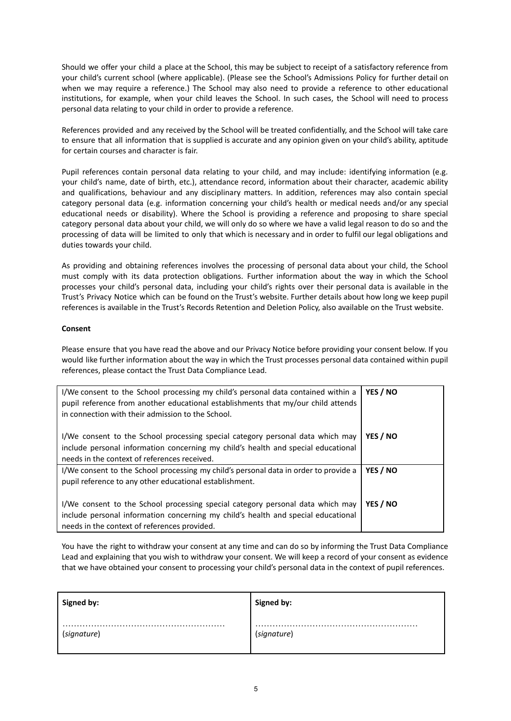Should we offer your child a place at the School, this may be subject to receipt of a satisfactory reference from your child's current school (where applicable). (Please see the School's Admissions Policy for further detail on when we may require a reference.) The School may also need to provide a reference to other educational institutions, for example, when your child leaves the School. In such cases, the School will need to process personal data relating to your child in order to provide a reference.

References provided and any received by the School will be treated confidentially, and the School will take care to ensure that all information that is supplied is accurate and any opinion given on your child's ability, aptitude for certain courses and character is fair.

Pupil references contain personal data relating to your child, and may include: identifying information (e.g. your child's name, date of birth, etc.), attendance record, information about their character, academic ability and qualifications, behaviour and any disciplinary matters. In addition, references may also contain special category personal data (e.g. information concerning your child's health or medical needs and/or any special educational needs or disability). Where the School is providing a reference and proposing to share special category personal data about your child, we will only do so where we have a valid legal reason to do so and the processing of data will be limited to only that which is necessary and in order to fulfil our legal obligations and duties towards your child.

As providing and obtaining references involves the processing of personal data about your child, the School must comply with its data protection obligations. Further information about the way in which the School processes your child's personal data, including your child's rights over their personal data is available in the Trust's Privacy Notice which can be found on the Trust's website. Further details about how long we keep pupil references is available in the Trust's Records Retention and Deletion Policy, also available on the Trust website.

### **Consent**

Please ensure that you have read the above and our Privacy Notice before providing your consent below. If you would like further information about the way in which the Trust processes personal data contained within pupil references, please contact the Trust Data Compliance Lead.

| I/We consent to the School processing my child's personal data contained within a<br>pupil reference from another educational establishments that my/our child attends<br>in connection with their admission to the School. | YES / NO |
|-----------------------------------------------------------------------------------------------------------------------------------------------------------------------------------------------------------------------------|----------|
| I/We consent to the School processing special category personal data which may<br>include personal information concerning my child's health and special educational<br>needs in the context of references received.         | YES / NO |
| I/We consent to the School processing my child's personal data in order to provide a                                                                                                                                        | YES / NO |
| pupil reference to any other educational establishment.                                                                                                                                                                     |          |
| I/We consent to the School processing special category personal data which may<br>include personal information concerning my child's health and special educational<br>needs in the context of references provided.         | YES / NO |

You have the right to withdraw your consent at any time and can do so by informing the Trust Data Compliance Lead and explaining that you wish to withdraw your consent. We will keep a record of your consent as evidence that we have obtained your consent to processing your child's personal data in the context of pupil references.

| Signed by:  | Signed by:  |
|-------------|-------------|
|             | .           |
|             | .           |
| (signature) | (signature) |